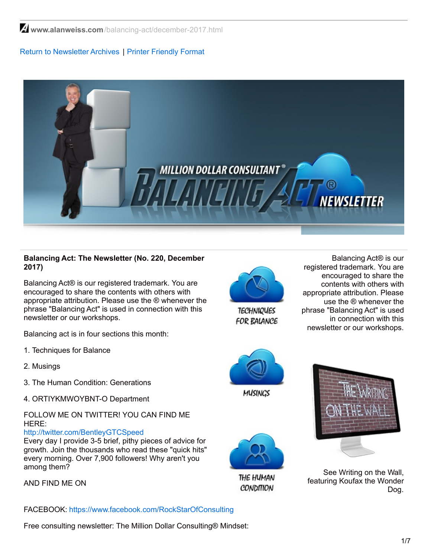**www.alanweiss.com**[/balancing-act/december-2017.html](https://www.alanweiss.com/balancing-act/december-2017.html)

# Return to [Newsletter](http://www.alanweiss.com/balancing-act-newsletter/) Archives | Printer [Friendly](http://www.alanweiss.com/balancing-act/november-2017.pdf) Format



## **Balancing Act: The Newsletter (No. 220, December 2017)**

Balancing Act® is our registered trademark. You are encouraged to share the contents with others with appropriate attribution. Please use the ® whenever the phrase "Balancing Act" is used in connection with this newsletter or our workshops.

Balancing act is in four sections this month:

- 1. Techniques for Balance
- 2. Musings
- 3. The Human Condition: Generations
- 4. ORTIYKMWOYBNT-O Department

# FOLLOW ME ON TWITTER! YOU CAN FIND ME HERE:

#### <http://twitter.com/BentleyGTCSpeed>

Every day I provide 3-5 brief, pithy pieces of advice for growth. Join the thousands who read these "quick hits" every morning. Over 7,900 followers! Why aren't you among them?

AND FIND ME ON

FACEBOOK: [https://www.facebook.com/RockStarOfConsulting](http://www.facebook.com/profile.php?id=788474935&ref=profile)

Free consulting newsletter: The Million Dollar Consulting® Mindset:



**TECHNIQUES FOR BALANCE** 

Balancing Act® is our registered trademark. You are encouraged to share the contents with others with appropriate attribution. Please use the ® whenever the phrase "Balancing Act" is used in connection with this newsletter or our workshops.



THE HUMAN **CONDITION** 



See Writing on the Wall, featuring Koufax the Wonder Dog.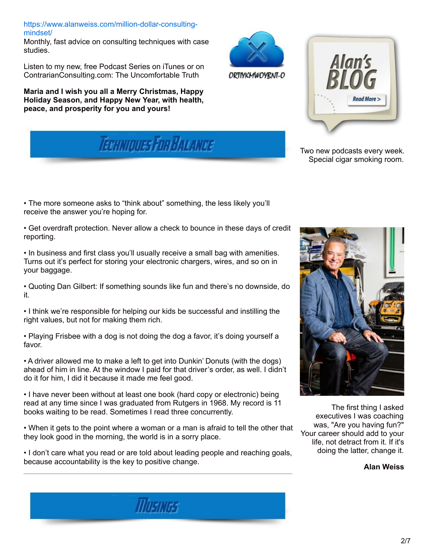[https://www.alanweiss.com/million-dollar-consulting](https://www.alanweiss.com/million-dollar-consulting-mindset/)mindset/

Monthly, fast advice on consulting techniques with case studies.

Listen to my new, free Podcast Series on iTunes or on ContrarianConsulting.com: The Uncomfortable Truth

**Maria and I wish you all a Merry Christmas, Happy Holiday Season, and Happy New Year, with health, peace, and prosperity for you and yours!**





ORTIYKMWOYRNT-O

Two new podcasts every week. Special cigar smoking room.

• The more someone asks to "think about" something, the less likely you'll receive the answer you're hoping for.

• Get overdraft protection. Never allow a check to bounce in these days of credit reporting.

• In business and first class you'll usually receive a small bag with amenities. Turns out it's perfect for storing your electronic chargers, wires, and so on in your baggage.

• Quoting Dan Gilbert: If something sounds like fun and there's no downside, do it.

• I think we're responsible for helping our kids be successful and instilling the right values, but not for making them rich.

• Playing Frisbee with a dog is not doing the dog a favor, it's doing yourself a favor.

• A driver allowed me to make a left to get into Dunkin' Donuts (with the dogs) ahead of him in line. At the window I paid for that driver's order, as well. I didn't do it for him, I did it because it made me feel good.

• I have never been without at least one book (hard copy or electronic) being read at any time since I was graduated from Rutgers in 1968. My record is 11 books waiting to be read. Sometimes I read three concurrently.

• When it gets to the point where a woman or a man is afraid to tell the other that they look good in the morning, the world is in a sorry place.

• I don't care what you read or are told about leading people and reaching goals, because accountability is the key to positive change.

**MUSIKISS** 



The first thing I asked executives I was coaching was, "Are you having fun?" Your career should add to your life, not detract from it. If it's doing the latter, change it.

**Alan Weiss**

2/7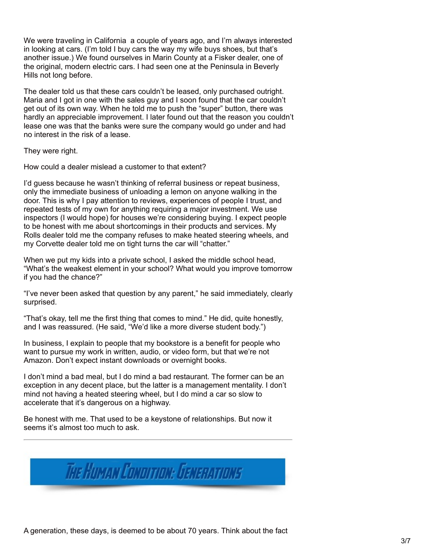We were traveling in California a couple of years ago, and I'm always interested in looking at cars. (I'm told I buy cars the way my wife buys shoes, but that's another issue.) We found ourselves in Marin County at a Fisker dealer, one of the original, modern electric cars. I had seen one at the Peninsula in Beverly Hills not long before.

The dealer told us that these cars couldn't be leased, only purchased outright. Maria and I got in one with the sales guy and I soon found that the car couldn't get out of its own way. When he told me to push the "super" button, there was hardly an appreciable improvement. I later found out that the reason you couldn't lease one was that the banks were sure the company would go under and had no interest in the risk of a lease.

They were right.

How could a dealer mislead a customer to that extent?

I'd guess because he wasn't thinking of referral business or repeat business, only the immediate business of unloading a lemon on anyone walking in the door. This is why I pay attention to reviews, experiences of people I trust, and repeated tests of my own for anything requiring a major investment. We use inspectors (I would hope) for houses we're considering buying. I expect people to be honest with me about shortcomings in their products and services. My Rolls dealer told me the company refuses to make heated steering wheels, and my Corvette dealer told me on tight turns the car will "chatter."

When we put my kids into a private school, I asked the middle school head, "What's the weakest element in your school? What would you improve tomorrow if you had the chance?"

"I've never been asked that question by any parent," he said immediately, clearly surprised.

"That's okay, tell me the first thing that comes to mind." He did, quite honestly, and I was reassured. (He said, "We'd like a more diverse student body.")

In business, I explain to people that my bookstore is a benefit for people who want to pursue my work in written, audio, or video form, but that we're not Amazon. Don't expect instant downloads or overnight books.

I don't mind a bad meal, but I do mind a bad restaurant. The former can be an exception in any decent place, but the latter is a management mentality. I don't mind not having a heated steering wheel, but I do mind a car so slow to accelerate that it's dangerous on a highway.

Be honest with me. That used to be a keystone of relationships. But now it seems it's almost too much to ask.

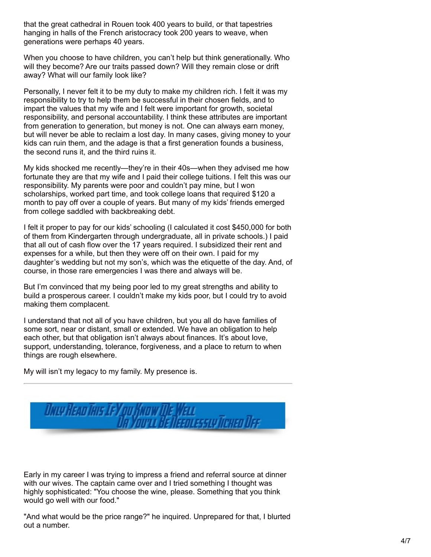that the great cathedral in Rouen took 400 years to build, or that tapestries hanging in halls of the French aristocracy took 200 years to weave, when generations were perhaps 40 years.

When you choose to have children, you can't help but think generationally. Who will they become? Are our traits passed down? Will they remain close or drift away? What will our family look like?

Personally, I never felt it to be my duty to make my children rich. I felt it was my responsibility to try to help them be successful in their chosen fields, and to impart the values that my wife and I felt were important for growth, societal responsibility, and personal accountability. I think these attributes are important from generation to generation, but money is not. One can always earn money, but will never be able to reclaim a lost day. In many cases, giving money to your kids can ruin them, and the adage is that a first generation founds a business, the second runs it, and the third ruins it.

My kids shocked me recently—they're in their 40s—when they advised me how fortunate they are that my wife and I paid their college tuitions. I felt this was our responsibility. My parents were poor and couldn't pay mine, but I won scholarships, worked part time, and took college loans that required \$120 a month to pay off over a couple of years. But many of my kids' friends emerged from college saddled with backbreaking debt.

I felt it proper to pay for our kids' schooling (I calculated it cost \$450,000 for both of them from Kindergarten through undergraduate, all in private schools.) I paid that all out of cash flow over the 17 years required. I subsidized their rent and expenses for a while, but then they were off on their own. I paid for my daughter's wedding but not my son's, which was the etiquette of the day. And, of course, in those rare emergencies I was there and always will be.

But I'm convinced that my being poor led to my great strengths and ability to build a prosperous career. I couldn't make my kids poor, but I could try to avoid making them complacent.

I understand that not all of you have children, but you all do have families of some sort, near or distant, small or extended. We have an obligation to help each other, but that obligation isn't always about finances. It's about love, support, understanding, tolerance, forgiveness, and a place to return to when things are rough elsewhere.

My will isn't my legacy to my family. My presence is.



Early in my career I was trying to impress a friend and referral source at dinner with our wives. The captain came over and I tried something I thought was highly sophisticated: "You choose the wine, please. Something that you think would go well with our food."

"And what would be the price range?" he inquired. Unprepared for that, I blurted out a number.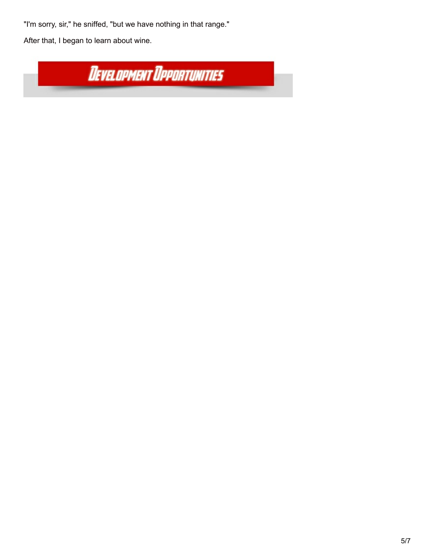"I'm sorry, sir," he sniffed, "but we have nothing in that range."

After that, I began to learn about wine.

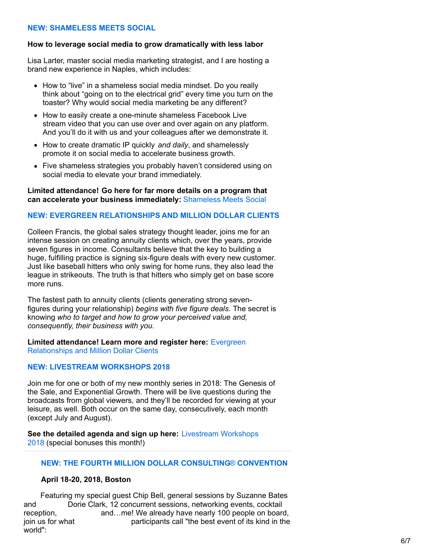## **NEW: [SHAMELESS](https://www.alanweiss.com/growth-experiences/shameless-meets-social/) MEETS SOCIAL**

#### **How to leverage social media to grow dramatically with less labor**

Lisa Larter, master social media marketing strategist, and I are hosting a brand new experience in Naples, which includes:

- How to "live" in a shameless social media mindset. Do you really think about "going on to the electrical grid" every time you turn on the toaster? Why would social media marketing be any different?
- How to easily create a one-minute shameless Facebook Live stream video that you can use over and over again on any platform. And you'll do it with us and your colleagues after we demonstrate it.
- How to create dramatic IP quickly *and daily*, and shamelessly promote it on social media to accelerate business growth.
- Five shameless strategies you probably haven't considered using on social media to elevate your brand immediately.

#### **Limited attendance! Go here for far more details on a program that can accelerate your business immediately:** [Shameless](https://www.alanweiss.com/growth-experiences/shameless-meets-social/) Meets Social

## **NEW: EVERGREEN [RELATIONSHIPS](https://www.alanweiss.com/growth-experiences/never-ending-value-evergreen-relationships-lifelong-business/) AND MILLION DOLLAR CLIENTS**

Colleen Francis, the global sales strategy thought leader, joins me for an intense session on creating annuity clients which, over the years, provide seven figures in income. Consultants believe that the key to building a huge, fulfilling practice is signing six-figure deals with every new customer. Just like baseball hitters who only swing for home runs, they also lead the league in strikeouts. The truth is that hitters who simply get on base score more runs.

The fastest path to annuity clients (clients generating strong sevenfigures during your relationship) *begins with five figure deals*. The secret is knowing *who to target and how to grow your perceived value and, consequently, their business with you.*

**Limited attendance! Learn more and register here:** Evergreen [Relationships](https://www.alanweiss.com/growth-experiences/never-ending-value-evergreen-relationships-lifelong-business/) and Million Dollar Clients

## **NEW: LIVESTREAM [WORKSHOPS](https://www.alanweiss.com/growth-experiences/livestream-experiences-2018/) 2018**

Join me for one or both of my new monthly series in 2018: The Genesis of the Sale, and Exponential Growth. There will be live questions during the broadcasts from global viewers, and they'll be recorded for viewing at your leisure, as well. Both occur on the same day, consecutively, each month (except July and August).

**See the detailed agenda and sign up here:** [Livestream](https://www.alanweiss.com/growth-experiences/livestream-experiences-2018/) Workshops 2018 (special bonuses this month!)

## **NEW: THE FOURTH MILLION DOLLAR [CONSULTING](https://www.alanweiss.com/growth-experiences/million-dollar-consulting-convention-2018/)**[®](https://www.alanweiss.com/growth-experiences/million-dollar-consulting-convention-2018/) **[CONVENTION](https://www.alanweiss.com/growth-experiences/million-dollar-consulting-convention-2018/)**

#### **April 18-20, 2018, Boston**

Featuring my special guest Chip Bell, general sessions by Suzanne Bates and Dorie Clark, 12 concurrent sessions, networking events, cocktail reception, and…me! We already have nearly 100 people on board, join us for what participants call "the best event of its kind in the world":